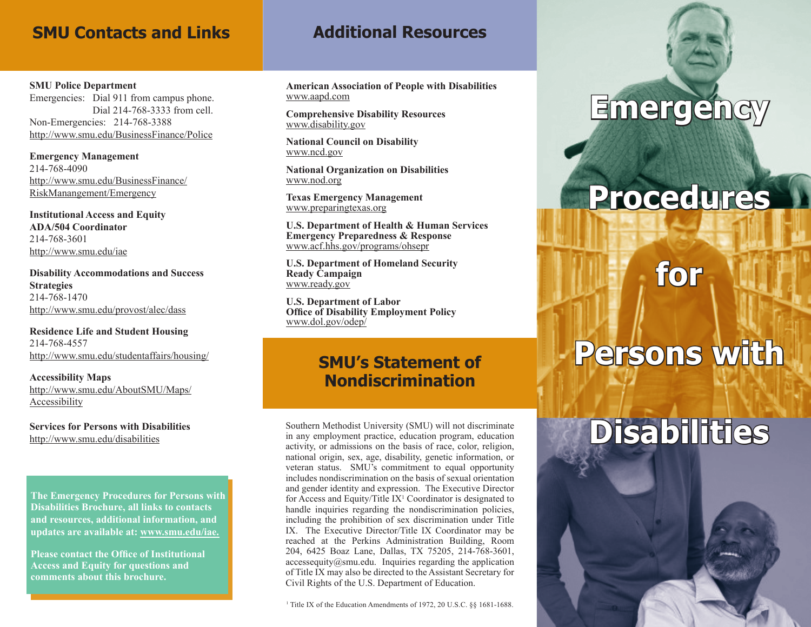### **SMU Contacts and Links**

#### **SMU Police Department**

Emergencies: Dial 911 from campus phone. Dial 214-768-3333 from cell. Non-Emergencies: 214-768-3388 http://www.smu.edu/BusinessFinance/Police

**Emergency Management** 214-768-4090 http://www.smu.edu/BusinessFinance/ RiskManangement/Emergency

**Institutional Access and Equity ADA/504 Coordinator** 214-768-3601 http://www.smu.edu/iae

**Disability Accommodations and Success Strategies** 214-768-1470 http://www.smu.edu/provost/alec/dass

**Residence Life and Student Housing** 214-768-4557 http://www.smu.edu/studentaffairs/housing/

**Accessibility Maps** http://www.smu.edu/AboutSMU/Maps/ Accessibility

**Services for Persons with Disabilities** http://www.smu.edu/disabilities

**The Emergency Procedures for Persons with Disabilities Brochure, all links to contacts and resources, additional information, and updates are available at: www.smu.edu/iae.**

**Please contact the Office of Institutional Access and Equity for questions and comments about this brochure.** 

## **Additional Resources**

**American Association of People with Disabilities** www.aapd.com

**Comprehensive Disability Resources** www.disability.gov

**National Council on Disability** www.ncd.gov

**National Organization on Disabilities** www.nod.org

**Texas Emergency Management** www.preparingtexas.org

**U.S. Department of Health & Human Services Emergency Preparedness & Response** www.acf.hhs.gov/programs/ohsepr

**U.S. Department of Homeland Security Ready Campaign** www.ready.gov

**U.S. Department of Labor Office of Disability Employment Policy** www.dol.gov/odep/

## **SMU's Statement of Nondiscrimination**

Southern Methodist University (SMU) will not discriminate in any employment practice, education program, education activity, or admissions on the basis of race, color, religion, national origin, sex, age, disability, genetic information, or veteran status. SMU's commitment to equal opportunity includes nondiscrimination on the basis of sexual orientation and gender identity and expression. The Executive Director for Access and Equity/Title  $IX<sup>1</sup>$  Coordinator is designated to handle inquiries regarding the nondiscrimination policies, including the prohibition of sex discrimination under Title IX. The Executive Director/Title IX Coordinator may be reached at the Perkins Administration Building, Room 204, 6425 Boaz Lane, Dallas, TX 75205, 214-768-3601,  $access$ equity $@s$ mu.edu. Inquiries regarding the application of Title IX may also be directed to the Assistant Secretary for Civil Rights of the U.S. Department of Education.

#### <sup>1</sup> Title IX of the Education Amendments of 1972, 20 U.S.C. §§ 1681-1688.

# **Emergency**

# **Procedures**

**for** 

# **Persons with Disabilities**